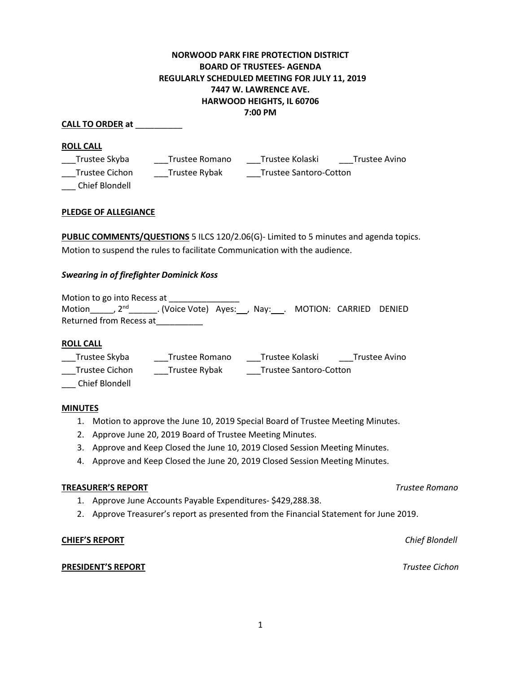# **NORWOOD PARK FIRE PROTECTION DISTRICT BOARD OF TRUSTEES- AGENDA REGULARLY SCHEDULED MEETING FOR JULY 11, 2019 7447 W. LAWRENCE AVE. HARWOOD HEIGHTS, IL 60706 7:00 PM**

#### **CALL TO ORDER at** \_\_\_\_\_\_\_\_\_\_

#### **ROLL CALL**

\_\_\_Trustee Skyba \_\_\_\_\_\_Trustee Romano \_\_\_\_\_Trustee Kolaski \_\_\_\_\_Trustee Avino \_\_\_Trustee Cichon \_\_\_Trustee Rybak \_\_\_Trustee Santoro-Cotton

\_\_\_ Chief Blondell

**PLEDGE OF ALLEGIANCE** 

**PUBLIC COMMENTS/QUESTIONS** 5 ILCS 120/2.06(G)- Limited to 5 minutes and agenda topics. Motion to suspend the rules to facilitate Communication with the audience.

## *Swearing in of firefighter Dominick Koss*

Motion to go into Recess at \_\_\_\_\_\_\_\_\_\_\_\_\_\_\_ Motion\_\_\_\_\_, 2<sup>nd</sup>\_\_\_\_\_\_\_. (Voice Vote) Ayes:\_\_\_, Nay:\_\_\_. MOTION: CARRIED DENIED Returned from Recess at

## **ROLL CALL**

\_\_\_Trustee Skyba \_\_\_\_\_\_Trustee Romano \_\_\_\_\_Trustee Kolaski \_\_\_\_\_\_Trustee Avino \_\_\_Trustee Cichon \_\_\_\_\_Trustee Rybak \_\_\_\_\_\_Trustee Santoro-Cotton

\_\_\_ Chief Blondell

## **MINUTES**

- 1. Motion to approve the June 10, 2019 Special Board of Trustee Meeting Minutes.
- 2. Approve June 20, 2019 Board of Trustee Meeting Minutes.
- 3. Approve and Keep Closed the June 10, 2019 Closed Session Meeting Minutes.
- 4. Approve and Keep Closed the June 20, 2019 Closed Session Meeting Minutes.

#### **TREASURER'S REPORT** *Trustee Romano*

- 1. Approve June Accounts Payable Expenditures- \$429,288.38.
- 2. Approve Treasurer's report as presented from the Financial Statement for June 2019.

#### **CHIEF'S REPORT** *Chief Blondell*

#### **PRESIDENT'S REPORT** *Trustee Cichon*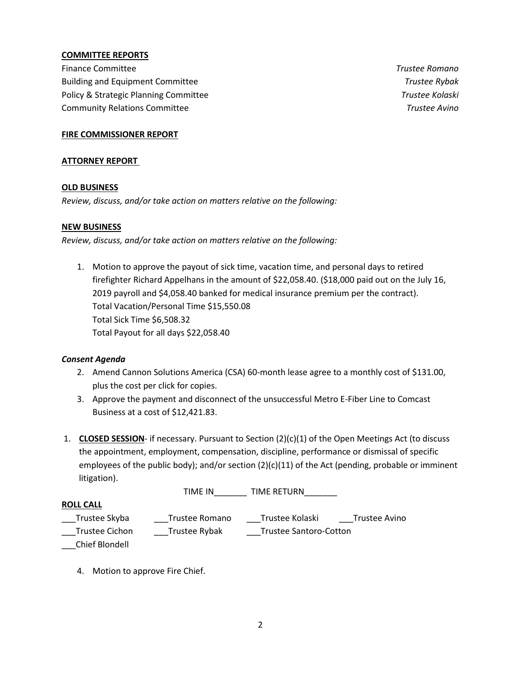## **COMMITTEE REPORTS**

Finance Committee *Trustee Romano* Building and Equipment Committee *Trustee Rybak*  Policy & Strategic Planning Committee *Trustee Kolaski* Community Relations Committee *Trustee Avino* 

### **FIRE COMMISSIONER REPORT**

#### **ATTORNEY REPORT**

#### **OLD BUSINESS**

*Review, discuss, and/or take action on matters relative on the following:*

## **NEW BUSINESS**

*Review, discuss, and/or take action on matters relative on the following:*

1. Motion to approve the payout of sick time, vacation time, and personal days to retired firefighter Richard Appelhans in the amount of \$22,058.40. (\$18,000 paid out on the July 16, 2019 payroll and \$4,058.40 banked for medical insurance premium per the contract). Total Vacation/Personal Time \$15,550.08 Total Sick Time \$6,508.32 Total Payout for all days \$22,058.40

## *Consent Agenda*

- 2. Amend Cannon Solutions America (CSA) 60-month lease agree to a monthly cost of \$131.00, plus the cost per click for copies.
- 3. Approve the payment and disconnect of the unsuccessful Metro E-Fiber Line to Comcast Business at a cost of \$12,421.83.
- 1. **CLOSED SESSION** if necessary. Pursuant to Section (2)(c)(1) of the Open Meetings Act (to discuss the appointment, employment, compensation, discipline, performance or dismissal of specific employees of the public body); and/or section (2)(c)(11) of the Act (pending, probable or imminent litigation).

|                       | TIME IN        | TIME RETURN                   |               |
|-----------------------|----------------|-------------------------------|---------------|
| <b>ROLL CALL</b>      |                |                               |               |
| Trustee Skyba         | Trustee Romano | Trustee Kolaski               | Trustee Avino |
| <b>Trustee Cichon</b> | Trustee Rybak  | <b>Trustee Santoro-Cotton</b> |               |
| Chief Blondell        |                |                               |               |

4. Motion to approve Fire Chief.